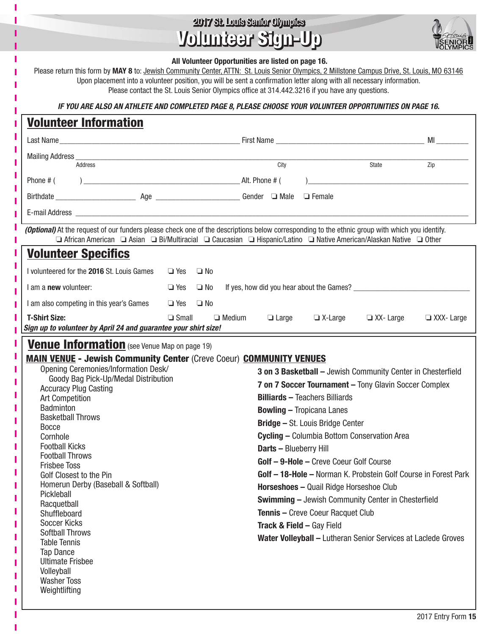## 2017 St. Louis Senior Olympics Volunteer Sign-Up 2017 St. Louis Senior Olympics Volunteer Sign-Up

т ï

ı п п



|   |                                                                                                                                                                                                                                                                                                                                                                                                                                |                      |  |  | VIGHTUVT VIYA VIY             |                                                          |                                                                 | <b>VOLYMPICS</b> |  |  |
|---|--------------------------------------------------------------------------------------------------------------------------------------------------------------------------------------------------------------------------------------------------------------------------------------------------------------------------------------------------------------------------------------------------------------------------------|----------------------|--|--|-------------------------------|----------------------------------------------------------|-----------------------------------------------------------------|------------------|--|--|
|   | All Volunteer Opportunities are listed on page 16.<br>Please return this form by MAY 8 to: Jewish Community Center, ATTN: St. Louis Senior Olympics, 2 Millstone Campus Drive, St. Louis, MO 63146<br>Upon placement into a volunteer position, you will be sent a confirmation letter along with all necessary information.<br>Please contact the St. Louis Senior Olympics office at 314.442.3216 if you have any questions. |                      |  |  |                               |                                                          |                                                                 |                  |  |  |
|   | IF YOU ARE ALSO AN ATHLETE AND COMPLETED PAGE 8, PLEASE CHOOSE YOUR VOLUNTEER OPPORTUNITIES ON PAGE 16.                                                                                                                                                                                                                                                                                                                        |                      |  |  |                               |                                                          |                                                                 |                  |  |  |
|   | <b>Volunteer Information</b>                                                                                                                                                                                                                                                                                                                                                                                                   |                      |  |  |                               |                                                          |                                                                 |                  |  |  |
|   |                                                                                                                                                                                                                                                                                                                                                                                                                                |                      |  |  |                               |                                                          |                                                                 |                  |  |  |
| ı |                                                                                                                                                                                                                                                                                                                                                                                                                                |                      |  |  |                               |                                                          |                                                                 |                  |  |  |
|   | Address                                                                                                                                                                                                                                                                                                                                                                                                                        |                      |  |  | City                          |                                                          | State                                                           | Zip              |  |  |
|   |                                                                                                                                                                                                                                                                                                                                                                                                                                |                      |  |  |                               |                                                          |                                                                 |                  |  |  |
|   |                                                                                                                                                                                                                                                                                                                                                                                                                                |                      |  |  |                               |                                                          |                                                                 |                  |  |  |
|   |                                                                                                                                                                                                                                                                                                                                                                                                                                |                      |  |  |                               |                                                          |                                                                 |                  |  |  |
|   | (Optional) At the request of our funders please check one of the descriptions below corresponding to the ethnic group with which you identify.<br><b>□</b> African American □ Asian □ Bi/Multiracial □ Caucasian □ Hispanic/Latino □ Native American/Alaskan Native □ Other                                                                                                                                                    |                      |  |  |                               |                                                          |                                                                 |                  |  |  |
|   | <b>Volunteer Specifics</b>                                                                                                                                                                                                                                                                                                                                                                                                     |                      |  |  |                               |                                                          |                                                                 |                  |  |  |
|   | I volunteered for the 2016 St. Louis Games □ Yes □ No                                                                                                                                                                                                                                                                                                                                                                          |                      |  |  |                               |                                                          |                                                                 |                  |  |  |
|   | I am a <b>new</b> volunteer:                                                                                                                                                                                                                                                                                                                                                                                                   | $\Box$ Yes $\Box$ No |  |  |                               | If yes, how did you hear about the Games? ______________ |                                                                 |                  |  |  |
|   | I am also competing in this year's Games □ Yes □ No                                                                                                                                                                                                                                                                                                                                                                            |                      |  |  |                               |                                                          |                                                                 |                  |  |  |
|   | <b>T-Shirt Size:</b>                                                                                                                                                                                                                                                                                                                                                                                                           | $\Box$ Small         |  |  |                               |                                                          | $\Box$ Medium $\Box$ Large $\Box$ X-Large $\Box$ XX-Large       | XXX-Large        |  |  |
|   | Sign up to volunteer by April 24 and guarantee your shirt size!                                                                                                                                                                                                                                                                                                                                                                |                      |  |  |                               |                                                          |                                                                 |                  |  |  |
| п | <b>Venue Information</b> (see Venue Map on page 19)                                                                                                                                                                                                                                                                                                                                                                            |                      |  |  |                               |                                                          |                                                                 |                  |  |  |
|   | <b>MAIN VENUE - Jewish Community Center (Creve Coeur) COMMUNITY VENUES</b>                                                                                                                                                                                                                                                                                                                                                     |                      |  |  |                               |                                                          |                                                                 |                  |  |  |
|   | Opening Ceremonies/Information Desk/                                                                                                                                                                                                                                                                                                                                                                                           |                      |  |  |                               |                                                          | 3 on 3 Basketball - Jewish Community Center in Chesterfield     |                  |  |  |
|   | Goody Bag Pick-Up/Medal Distribution<br><b>Accuracy Plug Casting</b>                                                                                                                                                                                                                                                                                                                                                           |                      |  |  |                               |                                                          | 7 on 7 Soccer Tournament - Tony Glavin Soccer Complex           |                  |  |  |
|   | <b>Art Competition</b>                                                                                                                                                                                                                                                                                                                                                                                                         |                      |  |  |                               | <b>Billiards - Teachers Billiards</b>                    |                                                                 |                  |  |  |
|   | Badminton                                                                                                                                                                                                                                                                                                                                                                                                                      |                      |  |  |                               | <b>Bowling - Tropicana Lanes</b>                         |                                                                 |                  |  |  |
|   | <b>Basketball Throws</b>                                                                                                                                                                                                                                                                                                                                                                                                       |                      |  |  |                               | <b>Bridge - St. Louis Bridge Center</b>                  |                                                                 |                  |  |  |
|   | <b>Bocce</b>                                                                                                                                                                                                                                                                                                                                                                                                                   |                      |  |  |                               |                                                          |                                                                 |                  |  |  |
|   | Cornhole<br><b>Football Kicks</b>                                                                                                                                                                                                                                                                                                                                                                                              |                      |  |  |                               |                                                          | Cycling - Columbia Bottom Conservation Area                     |                  |  |  |
|   | <b>Football Throws</b>                                                                                                                                                                                                                                                                                                                                                                                                         |                      |  |  | <b>Darts - Blueberry Hill</b> |                                                          |                                                                 |                  |  |  |
|   | <b>Frisbee Toss</b>                                                                                                                                                                                                                                                                                                                                                                                                            |                      |  |  |                               | Golf - 9-Hole - Creve Coeur Golf Course                  |                                                                 |                  |  |  |
|   | Golf Closest to the Pin                                                                                                                                                                                                                                                                                                                                                                                                        |                      |  |  |                               |                                                          | Golf - 18-Hole - Norman K. Probstein Golf Course in Forest Park |                  |  |  |
|   | Homerun Derby (Baseball & Softball)                                                                                                                                                                                                                                                                                                                                                                                            |                      |  |  |                               | Horseshoes - Quail Ridge Horseshoe Club                  |                                                                 |                  |  |  |
|   | Pickleball                                                                                                                                                                                                                                                                                                                                                                                                                     |                      |  |  |                               |                                                          | <b>Swimming - Jewish Community Center in Chesterfield</b>       |                  |  |  |
|   | Racquetball<br>Shuffleboard                                                                                                                                                                                                                                                                                                                                                                                                    |                      |  |  |                               | <b>Tennis - Creve Coeur Racquet Club</b>                 |                                                                 |                  |  |  |
|   | <b>Soccer Kicks</b>                                                                                                                                                                                                                                                                                                                                                                                                            |                      |  |  |                               |                                                          |                                                                 |                  |  |  |
|   | <b>Softball Throws</b>                                                                                                                                                                                                                                                                                                                                                                                                         |                      |  |  |                               | <b>Track &amp; Field - Gay Field</b>                     |                                                                 |                  |  |  |
|   | <b>Table Tennis</b>                                                                                                                                                                                                                                                                                                                                                                                                            |                      |  |  |                               |                                                          | Water Volleyball - Lutheran Senior Services at Laclede Groves   |                  |  |  |
|   | <b>Tap Dance</b>                                                                                                                                                                                                                                                                                                                                                                                                               |                      |  |  |                               |                                                          |                                                                 |                  |  |  |
|   | <b>Ultimate Frisbee</b>                                                                                                                                                                                                                                                                                                                                                                                                        |                      |  |  |                               |                                                          |                                                                 |                  |  |  |
|   | Volleyball<br><b>Washer Toss</b>                                                                                                                                                                                                                                                                                                                                                                                               |                      |  |  |                               |                                                          |                                                                 |                  |  |  |
|   | Weightlifting                                                                                                                                                                                                                                                                                                                                                                                                                  |                      |  |  |                               |                                                          |                                                                 |                  |  |  |